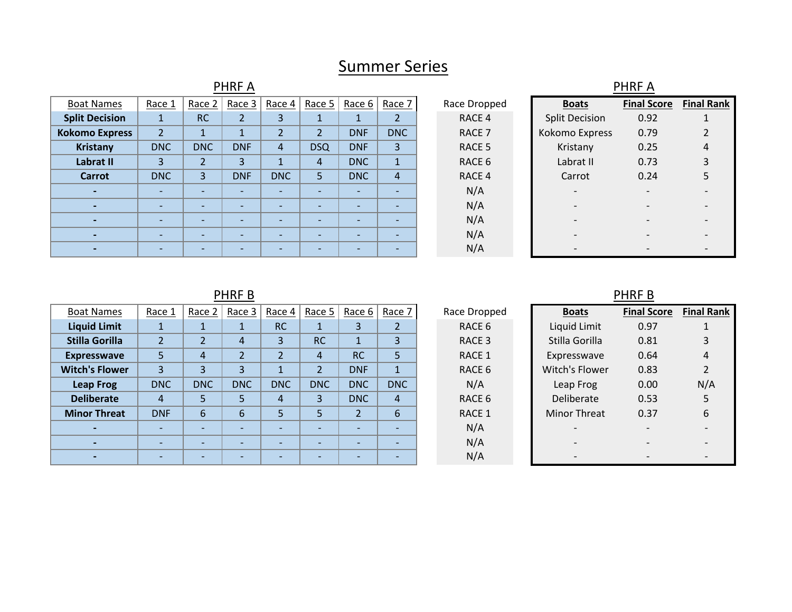# Summer Series

|                          |                          |                          | <b>PHRFA</b>             |                          |                          |                          |                          |                   |                          | <b>PHRFA</b>             |                          |
|--------------------------|--------------------------|--------------------------|--------------------------|--------------------------|--------------------------|--------------------------|--------------------------|-------------------|--------------------------|--------------------------|--------------------------|
| <b>Boat Names</b>        | Race 1                   | Race 2                   | Race 3                   | Race 4                   | Race 5                   | Race $6 \mid$            | Race 7                   | Race Dropped      | <b>Boats</b>             | <b>Final Score</b>       | Final I                  |
| <b>Split Decision</b>    |                          | <b>RC</b>                | $\overline{2}$           | 3                        |                          |                          |                          | RACE 4            | <b>Split Decision</b>    | 0.92                     |                          |
| <b>Kokomo Express</b>    | $\overline{2}$           | $\mathbf{1}$             |                          |                          | $\overline{2}$           | <b>DNF</b>               | <b>DNC</b>               | RACE <sub>7</sub> | Kokomo Express           | 0.79                     | $\overline{c}$           |
| Kristany                 | <b>DNC</b>               | <b>DNC</b>               | <b>DNF</b>               | 4                        | <b>DSQ</b>               | <b>DNF</b>               | 3                        | RACE 5            | Kristany                 | 0.25                     | 4                        |
| Labrat II                | 3                        | $\overline{2}$           | 3                        |                          | $\overline{4}$           | <b>DNC</b>               | $\mathbf{1}$             | RACE 6            | Labrat II                | 0.73                     | 3                        |
| Carrot                   | <b>DNC</b>               | 3                        | <b>DNF</b>               | <b>DNC</b>               | 5                        | <b>DNC</b>               | $\overline{4}$           | RACE 4            | Carrot                   | 0.24                     | 5                        |
| $\blacksquare$           | $\overline{\phantom{0}}$ | $\overline{\phantom{0}}$ | $\overline{\phantom{0}}$ | $\overline{\phantom{0}}$ | $\overline{\phantom{a}}$ | $\overline{\phantom{a}}$ | $\overline{\phantom{0}}$ | N/A               | $\overline{\phantom{0}}$ | $\overline{\phantom{0}}$ | $\overline{\phantom{a}}$ |
| $\blacksquare$           | $\sim$                   | $\overline{\phantom{0}}$ | $\overline{\phantom{0}}$ | $\overline{\phantom{0}}$ | $\overline{\phantom{0}}$ | $\overline{\phantom{0}}$ | $\overline{\phantom{0}}$ | N/A               |                          |                          | $\overline{\phantom{a}}$ |
| $\overline{\phantom{a}}$ | $\overline{\phantom{0}}$ | $\overline{\phantom{0}}$ |                          |                          | $\overline{\phantom{0}}$ |                          | $\overline{\phantom{0}}$ | N/A               |                          |                          |                          |
| $\blacksquare$           | $\overline{\phantom{0}}$ | $\overline{\phantom{0}}$ |                          |                          | $\overline{\phantom{0}}$ |                          |                          | N/A               |                          |                          |                          |
| $\blacksquare$           |                          | $\overline{\phantom{0}}$ |                          |                          | $\overline{\phantom{0}}$ |                          | $\overline{\phantom{0}}$ | N/A               |                          |                          |                          |

## PHRF B

| <b>Boat Names</b>     | Race 1     | Race $2$   | Race 3                   | Race 4                   | Race 5                   | Race 6     | Race 7                   | Race Dropped | <b>Boats</b>        | <b>Final Score</b> | <b>Final Rank</b> |
|-----------------------|------------|------------|--------------------------|--------------------------|--------------------------|------------|--------------------------|--------------|---------------------|--------------------|-------------------|
| <b>Liquid Limit</b>   |            |            |                          | <b>RC</b>                |                          |            |                          | RACE 6       | Liquid Limit        | 0.97               |                   |
| <b>Stilla Gorilla</b> |            |            | 4                        | $\overline{3}$           | <b>RC</b>                |            | 3                        | RACE 3       | Stilla Gorilla      | 0.81               |                   |
| <b>Expresswave</b>    |            | 4          | $\overline{\phantom{0}}$ | $\overline{ }$           | 4                        | <b>RC</b>  | 5                        | RACE 1       | Expresswave         | 0.64               | 4                 |
| <b>Witch's Flower</b> | 3          | 3          | 3                        |                          | $\overline{2}$           | <b>DNF</b> |                          | RACE 6       | Witch's Flower      | 0.83               |                   |
| <b>Leap Frog</b>      | <b>DNC</b> | <b>DNC</b> | <b>DNC</b>               | <b>DNC</b>               | <b>DNC</b>               | <b>DNC</b> | <b>DNC</b>               | N/A          | Leap Frog           | 0.00               | N/A               |
| <b>Deliberate</b>     | 4          |            |                          | 4                        | 3                        | <b>DNC</b> | $\overline{4}$           | RACE 6       | Deliberate          | 0.53               |                   |
| <b>Minor Threat</b>   | <b>DNF</b> | 6          | 6                        | 5                        | 5                        | ີ          | 6                        | RACE 1       | <b>Minor Threat</b> | 0.37               | 6                 |
|                       |            |            | $\overline{\phantom{0}}$ | $\overline{\phantom{0}}$ | $\overline{\phantom{0}}$ |            | $\overline{\phantom{0}}$ | N/A          |                     |                    |                   |
|                       |            |            |                          | -                        |                          |            | $\overline{\phantom{0}}$ | N/A          |                     |                    |                   |
|                       |            |            |                          |                          |                          |            |                          | N/A          |                     |                    |                   |
|                       |            |            |                          |                          |                          |            |                          |              |                     |                    |                   |

|                  |                     | PHRF B                     |                |
|------------------|---------------------|----------------------------|----------------|
| Dropped          | <b>Boats</b>        | <b>Final Score Final R</b> |                |
| ACE 6            | Liquid Limit        | 0.97                       | 1              |
| <b>ACE 3</b>     | Stilla Gorilla      | 0.81                       | 3              |
| <b>ACE 1</b>     | Expresswave         | 0.64                       | 4              |
| ACE 6            | Witch's Flower      | 0.83                       | $\overline{2}$ |
| N/A              | Leap Frog           | 0.00                       | $N/\Lambda$    |
| ACE <sub>6</sub> | Deliberate          | 0.53                       | 5              |
| ACE 1            | <b>Minor Threat</b> | 0.37                       | 6              |
| N/A              |                     |                            |                |
| N/A              |                     |                            |                |
| N/A              |                     |                            |                |

**Final Score Final Rank**